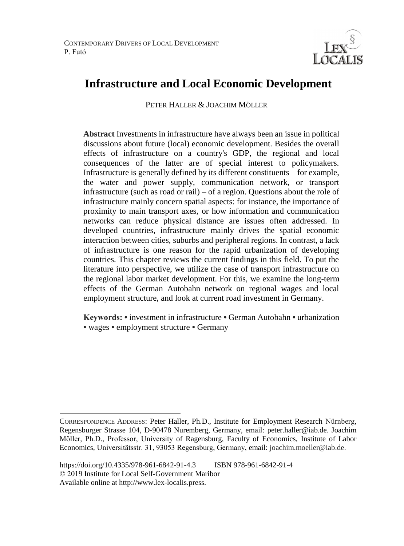

# **Infrastructure and Local Economic Development**

PETER HALLER & JOACHIM MÖLLER<sup>4</sup>

**Abstract** Investments in infrastructure have always been an issue in political discussions about future (local) economic development. Besides the overall effects of infrastructure on a country's GDP, the regional and local consequences of the latter are of special interest to policymakers. Infrastructure is generally defined by its different constituents – for example, the water and power supply, communication network, or transport infrastructure (such as road or rail) – of a region. Questions about the role of infrastructure mainly concern spatial aspects: for instance, the importance of proximity to main transport axes, or how information and communication networks can reduce physical distance are issues often addressed. In developed countries, infrastructure mainly drives the spatial economic interaction between cities, suburbs and peripheral regions. In contrast, a lack of infrastructure is one reason for the rapid urbanization of developing countries. This chapter reviews the current findings in this field. To put the literature into perspective, we utilize the case of transport infrastructure on the regional labor market development. For this, we examine the long-term effects of the German Autobahn network on regional wages and local employment structure, and look at current road investment in Germany.

**Keywords: •** investment in infrastructure **•** German Autobahn **•** urbanization **•** wages **•** employment structure **•** Germany

 $\overline{a}$ CORRESPONDENCE ADDRESS: Peter Haller, Ph.D., Institute for Employment Research Nürnberg, Regensburger Strasse 104, D-90478 Nuremberg, Germany, email: peter.haller@iab.de. Joachim Möller, Ph.D., Professor, University of Ragensburg, Faculty of Economics, Institute of Labor Economics, Universitätsstr. 31, 93053 Regensburg, Germany, email: joachim.moeller@iab.de.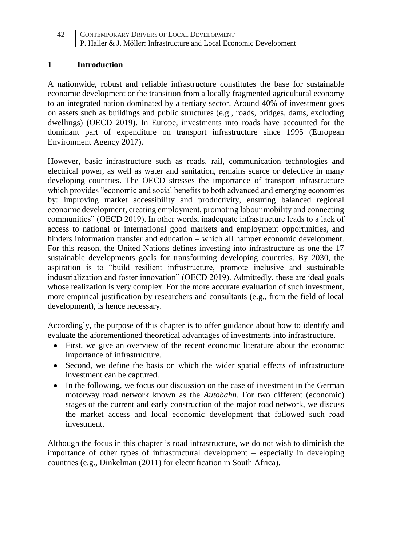## **1 Introduction**

A nationwide, robust and reliable infrastructure constitutes the base for sustainable economic development or the transition from a locally fragmented agricultural economy to an integrated nation dominated by a tertiary sector. Around 40% of investment goes on assets such as buildings and public structures (e.g., roads, bridges, dams, excluding dwellings) (OECD 2019). In Europe, investments into roads have accounted for the dominant part of expenditure on transport infrastructure since 1995 (European Environment Agency 2017).

However, basic infrastructure such as roads, rail, communication technologies and electrical power, as well as water and sanitation, remains scarce or defective in many developing countries. The OECD stresses the importance of transport infrastructure which provides "economic and social benefits to both advanced and emerging economies by: improving market accessibility and productivity, ensuring balanced regional economic development, creating employment, promoting labour mobility and connecting communities" (OECD 2019). In other words, inadequate infrastructure leads to a lack of access to national or international good markets and employment opportunities, and hinders information transfer and education – which all hamper economic development. For this reason, the United Nations defines investing into infrastructure as one the 17 sustainable developments goals for transforming developing countries. By 2030, the aspiration is to "build resilient infrastructure, promote inclusive and sustainable industrialization and foster innovation" (OECD 2019). Admittedly, these are ideal goals whose realization is very complex. For the more accurate evaluation of such investment, more empirical justification by researchers and consultants (e.g., from the field of local development), is hence necessary.

Accordingly, the purpose of this chapter is to offer guidance about how to identify and evaluate the aforementioned theoretical advantages of investments into infrastructure.

- First, we give an overview of the recent economic literature about the economic importance of infrastructure.
- Second, we define the basis on which the wider spatial effects of infrastructure investment can be captured.
- In the following, we focus our discussion on the case of investment in the German motorway road network known as the *Autobahn*. For two different (economic) stages of the current and early construction of the major road network, we discuss the market access and local economic development that followed such road investment.

Although the focus in this chapter is road infrastructure, we do not wish to diminish the importance of other types of infrastructural development – especially in developing countries (e.g., Dinkelman (2011) for electrification in South Africa).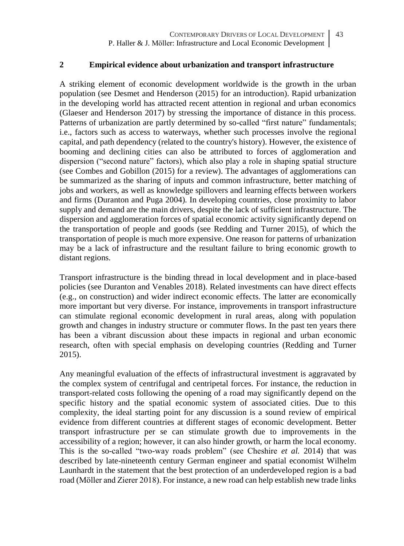#### **2 Empirical evidence about urbanization and transport infrastructure**

A striking element of economic development worldwide is the growth in the urban population (see Desmet and Henderson (2015) for an introduction). Rapid urbanization in the developing world has attracted recent attention in regional and urban economics (Glaeser and Henderson 2017) by stressing the importance of distance in this process. Patterns of urbanization are partly determined by so-called "first nature" fundamentals; i.e., factors such as access to waterways, whether such processes involve the regional capital, and path dependency (related to the country's history). However, the existence of booming and declining cities can also be attributed to forces of agglomeration and dispersion ("second nature" factors), which also play a role in shaping spatial structure (see Combes and Gobillon (2015) for a review). The advantages of agglomerations can be summarized as the sharing of inputs and common infrastructure, better matching of jobs and workers, as well as knowledge spillovers and learning effects between workers and firms (Duranton and Puga 2004). In developing countries, close proximity to labor supply and demand are the main drivers, despite the lack of sufficient infrastructure. The dispersion and agglomeration forces of spatial economic activity significantly depend on the transportation of people and goods (see Redding and Turner 2015), of which the transportation of people is much more expensive. One reason for patterns of urbanization may be a lack of infrastructure and the resultant failure to bring economic growth to distant regions.

Transport infrastructure is the binding thread in local development and in place-based policies (see Duranton and Venables 2018). Related investments can have direct effects (e.g., on construction) and wider indirect economic effects. The latter are economically more important but very diverse. For instance, improvements in transport infrastructure can stimulate regional economic development in rural areas, along with population growth and changes in industry structure or commuter flows. In the past ten years there has been a vibrant discussion about these impacts in regional and urban economic research, often with special emphasis on developing countries (Redding and Turner 2015).

Any meaningful evaluation of the effects of infrastructural investment is aggravated by the complex system of centrifugal and centripetal forces. For instance, the reduction in transport-related costs following the opening of a road may significantly depend on the specific history and the spatial economic system of associated cities. Due to this complexity, the ideal starting point for any discussion is a sound review of empirical evidence from different countries at different stages of economic development. Better transport infrastructure per se can stimulate growth due to improvements in the accessibility of a region; however, it can also hinder growth, or harm the local economy. This is the so-called "two-way roads problem" (see Cheshire *et al.* 2014) that was described by late-nineteenth century German engineer and spatial economist Wilhelm Launhardt in the statement that the best protection of an underdeveloped region is a bad road (Möller and Zierer 2018). For instance, a new road can help establish new trade links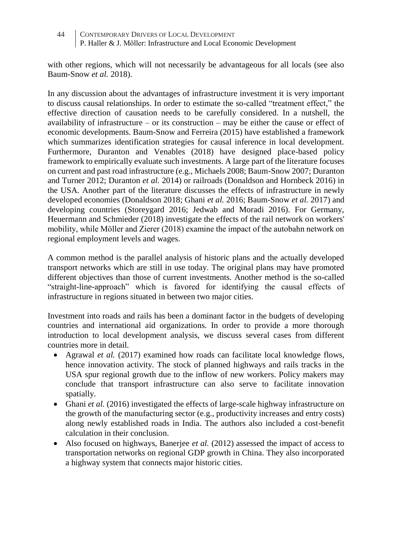with other regions, which will not necessarily be advantageous for all locals (see also Baum-Snow *et al.* 2018).

In any discussion about the advantages of infrastructure investment it is very important to discuss causal relationships. In order to estimate the so-called "treatment effect," the effective direction of causation needs to be carefully considered. In a nutshell, the availability of infrastructure – or its construction – may be either the cause or effect of economic developments. Baum-Snow and Ferreira (2015) have established a framework which summarizes identification strategies for causal inference in local development. Furthermore, Duranton and Venables (2018) have designed place-based policy framework to empirically evaluate such investments. A large part of the literature focuses on current and past road infrastructure (e.g., Michaels 2008; Baum-Snow 2007; Duranton and Turner 2012; Duranton *et al.* 2014) or railroads (Donaldson and Hornbeck 2016) in the USA. Another part of the literature discusses the effects of infrastructure in newly developed economies (Donaldson 2018; Ghani *et al.* 2016; Baum-Snow *et al.* 2017) and developing countries (Storeygard 2016; Jedwab and Moradi 2016). For Germany, Heuermann and Schmieder (2018) investigate the effects of the rail network on workers' mobility, while Möller and Zierer (2018) examine the impact of the autobahn network on regional employment levels and wages.

A common method is the parallel analysis of historic plans and the actually developed transport networks which are still in use today. The original plans may have promoted different objectives than those of current investments. Another method is the so-called "straight-line-approach" which is favored for identifying the causal effects of infrastructure in regions situated in between two major cities.

Investment into roads and rails has been a dominant factor in the budgets of developing countries and international aid organizations. In order to provide a more thorough introduction to local development analysis, we discuss several cases from different countries more in detail.

- Agrawal *et al.* (2017) examined how roads can facilitate local knowledge flows, hence innovation activity. The stock of planned highways and rails tracks in the USA spur regional growth due to the inflow of new workers. Policy makers may conclude that transport infrastructure can also serve to facilitate innovation spatially.
- Ghani *et al.* (2016) investigated the effects of large-scale highway infrastructure on the growth of the manufacturing sector (e.g., productivity increases and entry costs) along newly established roads in India. The authors also included a cost-benefit calculation in their conclusion.
- Also focused on highways, Banerjee *et al.* (2012) assessed the impact of access to transportation networks on regional GDP growth in China. They also incorporated a highway system that connects major historic cities.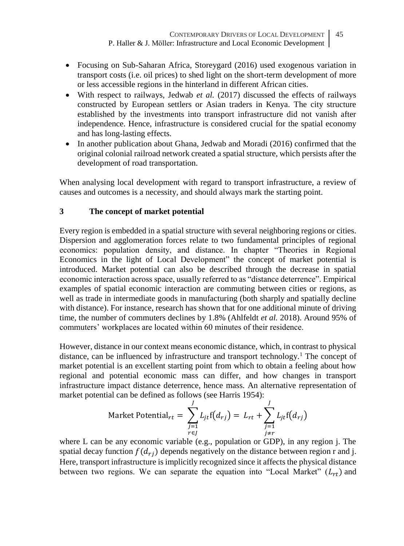- Focusing on Sub-Saharan Africa, Storeygard (2016) used exogenous variation in transport costs (i.e. oil prices) to shed light on the short-term development of more or less accessible regions in the hinterland in different African cities.
- With respect to railways, Jedwab *et al.* (2017) discussed the effects of railways constructed by European settlers or Asian traders in Kenya. The city structure established by the investments into transport infrastructure did not vanish after independence. Hence, infrastructure is considered crucial for the spatial economy and has long-lasting effects.
- In another publication about Ghana, Jedwab and Moradi (2016) confirmed that the original colonial railroad network created a spatial structure, which persists after the development of road transportation.

When analysing local development with regard to transport infrastructure, a review of causes and outcomes is a necessity, and should always mark the starting point.

## **3 The concept of market potential**

Every region is embedded in a spatial structure with several neighboring regions or cities. Dispersion and agglomeration forces relate to two fundamental principles of regional economics: population density, and distance. In chapter "Theories in Regional Economics in the light of Local Development" the concept of market potential is introduced. Market potential can also be described through the decrease in spatial economic interaction across space, usually referred to as "distance deterrence". Empirical examples of spatial economic interaction are commuting between cities or regions, as well as trade in intermediate goods in manufacturing (both sharply and spatially decline with distance). For instance, research has shown that for one additional minute of driving time, the number of commuters declines by 1.8% (Ahlfeldt *et al.* 2018). Around 95% of commuters' workplaces are located within 60 minutes of their residence.

However, distance in our context means economic distance, which, in contrast to physical distance, can be influenced by infrastructure and transport technology.<sup>1</sup> The concept of market potential is an excellent starting point from which to obtain a feeling about how regional and potential economic mass can differ, and how changes in transport infrastructure impact distance deterrence, hence mass. An alternative representation of market potential can be defined as follows (see Harris 1954):

Market Potential<sub>rt</sub> = 
$$
\sum_{\substack{j=1 \ r \in J}}^{J} L_{jt}f(d_{rj}) = L_{rt} + \sum_{\substack{j=1 \ j \neq r}}^{J} L_{jt}f(d_{rj})
$$

where L can be any economic variable (e.g., population or GDP), in any region j. The spatial decay function  $f(d_{ri})$  depends negatively on the distance between region r and j. Here, transport infrastructure is implicitly recognized since it affects the physical distance between two regions. We can separate the equation into "Local Market"  $(L_{rt})$  and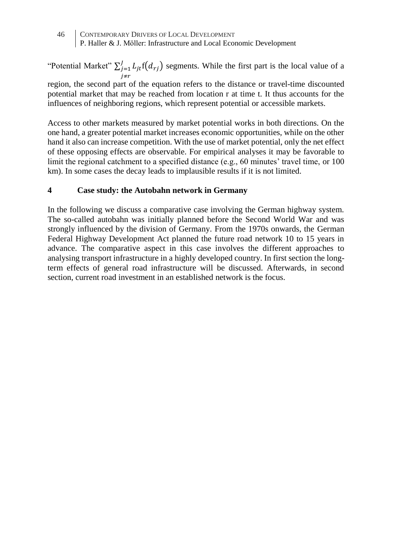46 CONTEMPORARY DRIVERS OF LOCAL DEVELOPMENT P. Haller & J. Möller: Infrastructure and Local Economic Development

"Potential Market"  $\sum_{j=1}^{J} L_{jt} f(d_{rj})$  segments. While the first part is the local value of a j≠r region, the second part of the equation refers to the distance or travel-time discounted potential market that may be reached from location r at time t. It thus accounts for the influences of neighboring regions, which represent potential or accessible markets.

Access to other markets measured by market potential works in both directions. On the one hand, a greater potential market increases economic opportunities, while on the other hand it also can increase competition. With the use of market potential, only the net effect of these opposing effects are observable. For empirical analyses it may be favorable to limit the regional catchment to a specified distance (e.g., 60 minutes' travel time, or 100 km). In some cases the decay leads to implausible results if it is not limited.

#### **4 Case study: the Autobahn network in Germany**

In the following we discuss a comparative case involving the German highway system. The so-called autobahn was initially planned before the Second World War and was strongly influenced by the division of Germany. From the 1970s onwards, the German Federal Highway Development Act planned the future road network 10 to 15 years in advance. The comparative aspect in this case involves the different approaches to analysing transport infrastructure in a highly developed country. In first section the longterm effects of general road infrastructure will be discussed. Afterwards, in second section, current road investment in an established network is the focus.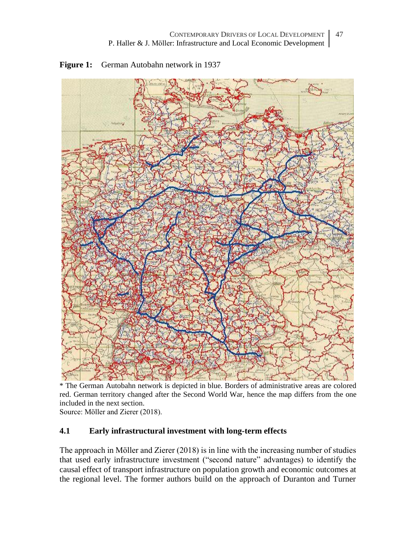

**Figure 1:** German Autobahn network in 1937

\* The German Autobahn network is depicted in blue. Borders of administrative areas are colored red. German territory changed after the Second World War, hence the map differs from the one included in the next section.

Source: Möller and Zierer (2018).

## **4.1 Early infrastructural investment with long-term effects**

The approach in Möller and Zierer (2018) is in line with the increasing number of studies that used early infrastructure investment ("second nature" advantages) to identify the causal effect of transport infrastructure on population growth and economic outcomes at the regional level. The former authors build on the approach of Duranton and Turner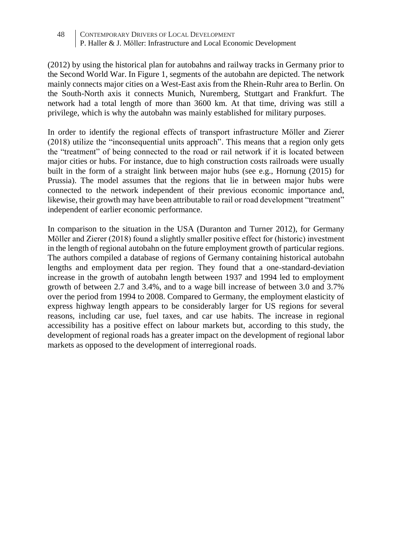(2012) by using the historical plan for autobahns and railway tracks in Germany prior to the Second World War. In Figure 1, segments of the autobahn are depicted. The network mainly connects major cities on a West-East axis from the Rhein-Ruhr area to Berlin. On the South-North axis it connects Munich, Nuremberg, Stuttgart and Frankfurt. The network had a total length of more than 3600 km. At that time, driving was still a privilege, which is why the autobahn was mainly established for military purposes.

In order to identify the regional effects of transport infrastructure Möller and Zierer (2018) utilize the "inconsequential units approach". This means that a region only gets the "treatment" of being connected to the road or rail network if it is located between major cities or hubs. For instance, due to high construction costs railroads were usually built in the form of a straight link between major hubs (see e.g., Hornung (2015) for Prussia). The model assumes that the regions that lie in between major hubs were connected to the network independent of their previous economic importance and, likewise, their growth may have been attributable to rail or road development "treatment" independent of earlier economic performance.

In comparison to the situation in the USA (Duranton and Turner 2012), for Germany Möller and Zierer (2018) found a slightly smaller positive effect for (historic) investment in the length of regional autobahn on the future employment growth of particular regions. The authors compiled a database of regions of Germany containing historical autobahn lengths and employment data per region. They found that a one-standard-deviation increase in the growth of autobahn length between 1937 and 1994 led to employment growth of between 2.7 and 3.4%, and to a wage bill increase of between 3.0 and 3.7% over the period from 1994 to 2008. Compared to Germany, the employment elasticity of express highway length appears to be considerably larger for US regions for several reasons, including car use, fuel taxes, and car use habits. The increase in regional accessibility has a positive effect on labour markets but, according to this study, the development of regional roads has a greater impact on the development of regional labor markets as opposed to the development of interregional roads.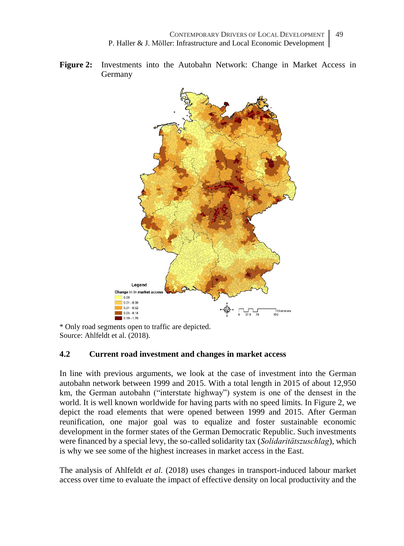**Figure 2:** Investments into the Autobahn Network: Change in Market Access in Germany



\* Only road segments open to traffic are depicted. Source: Ahlfeldt et al. (2018).

## **4.2 Current road investment and changes in market access**

In line with previous arguments, we look at the case of investment into the German autobahn network between 1999 and 2015. With a total length in 2015 of about 12,950 km, the German autobahn ("interstate highway") system is one of the densest in the world. It is well known worldwide for having parts with no speed limits. In Figure 2, we depict the road elements that were opened between 1999 and 2015. After German reunification, one major goal was to equalize and foster sustainable economic development in the former states of the German Democratic Republic. Such investments were financed by a special levy, the so-called solidarity tax (*Solidaritätszuschlag*), which is why we see some of the highest increases in market access in the East.

The analysis of Ahlfeldt *et al.* (2018) uses changes in transport-induced labour market access over time to evaluate the impact of effective density on local productivity and the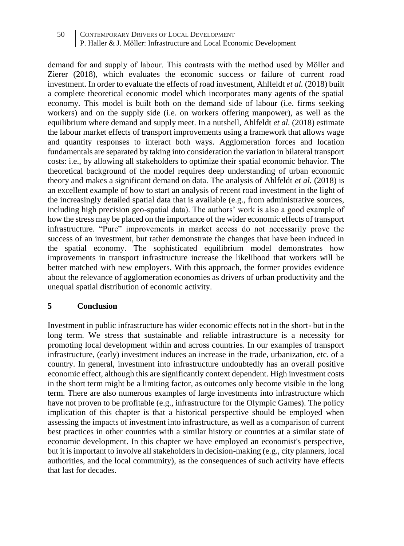demand for and supply of labour. This contrasts with the method used by Möller and Zierer (2018), which evaluates the economic success or failure of current road investment. In order to evaluate the effects of road investment, Ahlfeldt *et al.* (2018) built a complete theoretical economic model which incorporates many agents of the spatial economy. This model is built both on the demand side of labour (i.e. firms seeking workers) and on the supply side (i.e. on workers offering manpower), as well as the equilibrium where demand and supply meet. In a nutshell, Ahlfeldt *et al.* (2018) estimate the labour market effects of transport improvements using a framework that allows wage and quantity responses to interact both ways. Agglomeration forces and location fundamentals are separated by taking into consideration the variation in bilateral transport costs: i.e., by allowing all stakeholders to optimize their spatial economic behavior. The theoretical background of the model requires deep understanding of urban economic theory and makes a significant demand on data. The analysis of Ahlfeldt *et al.* (2018) is an excellent example of how to start an analysis of recent road investment in the light of the increasingly detailed spatial data that is available (e.g., from administrative sources, including high precision geo-spatial data). The authors' work is also a good example of how the stress may be placed on the importance of the wider economic effects of transport infrastructure. "Pure" improvements in market access do not necessarily prove the success of an investment, but rather demonstrate the changes that have been induced in the spatial economy. The sophisticated equilibrium model demonstrates how improvements in transport infrastructure increase the likelihood that workers will be better matched with new employers. With this approach, the former provides evidence about the relevance of agglomeration economies as drivers of urban productivity and the unequal spatial distribution of economic activity.

## **5 Conclusion**

Investment in public infrastructure has wider economic effects not in the short- but in the long term. We stress that sustainable and reliable infrastructure is a necessity for promoting local development within and across countries. In our examples of transport infrastructure, (early) investment induces an increase in the trade, urbanization, etc. of a country. In general, investment into infrastructure undoubtedly has an overall positive economic effect, although this are significantly context dependent. High investment costs in the short term might be a limiting factor, as outcomes only become visible in the long term. There are also numerous examples of large investments into infrastructure which have not proven to be profitable (e.g., infrastructure for the Olympic Games). The policy implication of this chapter is that a historical perspective should be employed when assessing the impacts of investment into infrastructure, as well as a comparison of current best practices in other countries with a similar history or countries at a similar state of economic development. In this chapter we have employed an economist's perspective, but it is important to involve all stakeholders in decision-making (e.g., city planners, local authorities, and the local community), as the consequences of such activity have effects that last for decades.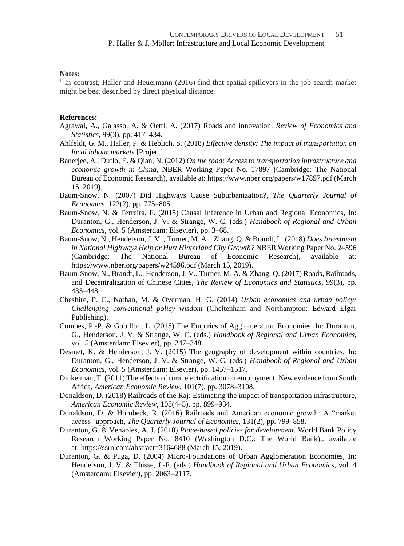#### **Notes:**

1 In contrast, Haller and Heuermann (2016) find that spatial spillovers in the job search market might be best described by direct physical distance.

#### **References:**

- Agrawal, A., Galasso, A. & Oettl, A. (2017) Roads and innovation, *Review of Economics and Statistics*, 99(3), pp. 417–434.
- Ahlfeldt, G. M., Haller, P. & Heblich, S. (2018) *Effective density: The impact of transportation on local labour markets* [Project].
- Banerjee, A., Duflo, E. & Qian, N. (2012) *On the road: Access to transportation infrastructure and economic growth in China*, NBER Working Paper No. 17897 (Cambridge: The National Bureau of Economic Research), available at: https://www.nber.org/papers/w17897.pdf (March 15, 2019).
- Baum-Snow, N. (2007) Did Highways Cause Suburbanization?, *The Quarterly Journal of Economics*, 122(2), pp. 775–805.
- Baum-Snow, N. & Ferreira, F. (2015) Causal Inference in Urban and Regional Economics, In: Duranton, G., Henderson, J. V. & Strange, W. C. (eds.) *Handbook of Regional and Urban Economics*, vol. 5 (Amsterdam: Elsevier), pp. 3–68.
- Baum-Snow, N., Henderson, J. V. , Turner, M. A. , Zhang, Q. & Brandt, L. (2018) *Does Investment in National Highways Help or Hurt Hinterland City Growth?* NBER Working Paper No. 24596 (Cambridge: The National Bureau of Economic Research), available at: https://www.nber.org/papers/w24596.pdf (March 15, 2019).
- Baum-Snow, N., Brandt, L., Henderson, J. V., Turner, M. A. & Zhang, Q. (2017) Roads, Railroads, and Decentralization of Chinese Cities, *The Review of Economics and Statistics*, 99(3), pp. 435–448.
- Cheshire, P. C., Nathan, M. & Overman, H. G. (2014) *Urban economics and urban policy: Challenging conventional policy wisdom* (Cheltenham and Northampton: Edward Elgar Publishing).
- Combes, P.-P. & Gobillon, L. (2015) The Empirics of Agglomeration Economies, In: Duranton, G., Henderson, J. V. & Strange, W. C. (eds.) *Handbook of Regional and Urban Economics*, vol. 5 (Amsterdam: Elsevier), pp. 247–348.
- Desmet, K. & Henderson, J. V. (2015) The geography of development within countries, In: Duranton, G., Henderson, J. V. & Strange, W. C. (eds.) *Handbook of Regional and Urban Economics*, vol. 5 (Amsterdam: Elsevier), pp. 1457–1517.
- Dinkelman, T. (2011) The effects of rural electrification on employment: New evidence from South Africa, *American Economic Review*, 101(7), pp. 3078–3108.
- Donaldson, D. (2018) Railroads of the Raj: Estimating the impact of transportation infrastructure, *American Economic Review*, 108(4–5), pp. 899–934.
- Donaldson, D. & Hornbeck, R. (2016) Railroads and American economic growth: A "market access" approach, *The Quarterly Journal of Economics,* 131(2), pp. 799–858.
- Duranton, G. & Venables, A. J. (2018) *Place-based policies for development.* World Bank Policy Research Working Paper No. 8410 (Washington D.C.: The World Bank),. available at: <https://ssrn.com/abstract=3164688> (March 15, 2019).
- Duranton, G. & Puga, D. (2004) Micro-Foundations of Urban Agglomeration Economies, In: Henderson, J. V. & Thisse, J.-F. (eds.) *Handbook of Regional and Urban Economics*, vol. 4 (Amsterdam: Elsevier), pp. 2063–2117.